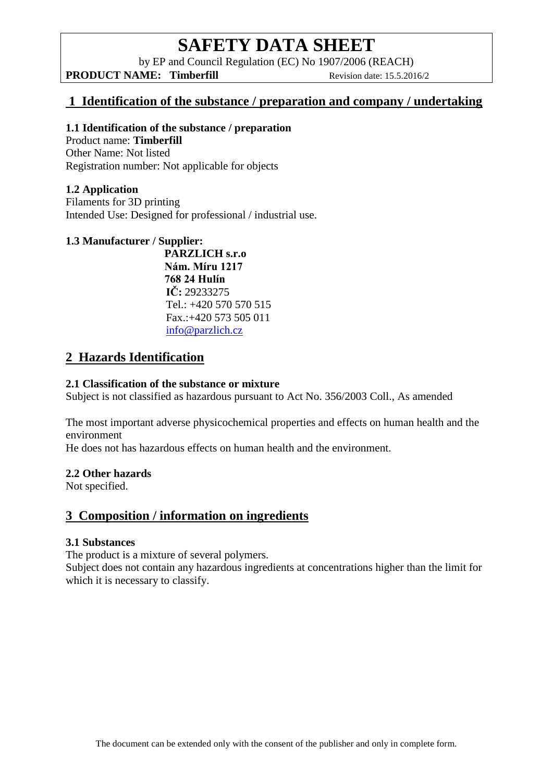by EP and Council Regulation (EC) No 1907/2006 (REACH)

**PRODUCT NAME:** Timberfill Revision date: 15.5.2016/2

## **1 Identification of the substance / preparation and company / undertaking**

#### **1.1 Identification of the substance / preparation**

Product name: **Timberfill** Other Name: Not listed Registration number: Not applicable for objects

## **1.2 Application**

Filaments for 3D printing Intended Use: Designed for professional / industrial use.

### **1.3 Manufacturer / Supplier:**

**PARZLICH s.r.o Nám. Míru 1217 768 24 Hulín IČ:** 29233275 Tel.: +420 570 570 515 Fax.:+420 573 505 011 [info@parzlich.cz](http://www.parzlich.cz/kontakty/)

# **2 Hazards Identification**

### **2.1 Classification of the substance or mixture**

Subject is not classified as hazardous pursuant to Act No. 356/2003 Coll., As amended

The most important adverse physicochemical properties and effects on human health and the environment

He does not has hazardous effects on human health and the environment.

#### **2.2 Other hazards**

Not specified.

## **3 Composition / information on ingredients**

#### **3.1 Substances**

The product is a mixture of several polymers.

Subject does not contain any hazardous ingredients at concentrations higher than the limit for which it is necessary to classify.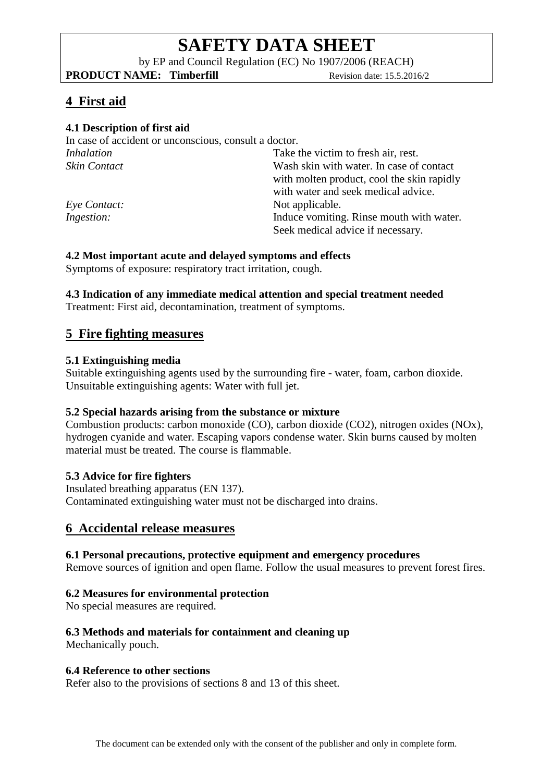by EP and Council Regulation (EC) No 1907/2006 (REACH)

**PRODUCT NAME:** Timberfill Revision date: 15.5.2016/2

# **4 First aid**

## **4.1 Description of first aid**

In case of accident or unconscious, consult a doctor. *Inhalation* Take the victim to fresh air, rest. *Skin Contact* Wash skin with water. In case of contact with molten product, cool the skin rapidly with water and seek medical advice. *Eye Contact:* Not applicable. *Ingestion:* Induce vomiting. Rinse mouth with water. Seek medical advice if necessary.

## **4.2 Most important acute and delayed symptoms and effects**

Symptoms of exposure: respiratory tract irritation, cough.

## **4.3 Indication of any immediate medical attention and special treatment needed**

Treatment: First aid, decontamination, treatment of symptoms.

# **5 Fire fighting measures**

## **5.1 Extinguishing media**

Suitable extinguishing agents used by the surrounding fire - water, foam, carbon dioxide. Unsuitable extinguishing agents: Water with full jet.

## **5.2 Special hazards arising from the substance or mixture**

Combustion products: carbon monoxide (CO), carbon dioxide (CO2), nitrogen oxides (NOx), hydrogen cyanide and water. Escaping vapors condense water. Skin burns caused by molten material must be treated. The course is flammable.

## **5.3 Advice for fire fighters**

Insulated breathing apparatus (EN 137). Contaminated extinguishing water must not be discharged into drains.

## **6 Accidental release measures**

## **6.1 Personal precautions, protective equipment and emergency procedures**

Remove sources of ignition and open flame. Follow the usual measures to prevent forest fires.

## **6.2 Measures for environmental protection**

No special measures are required.

## **6.3 Methods and materials for containment and cleaning up**

Mechanically pouch.

## **6.4 Reference to other sections**

Refer also to the provisions of sections 8 and 13 of this sheet.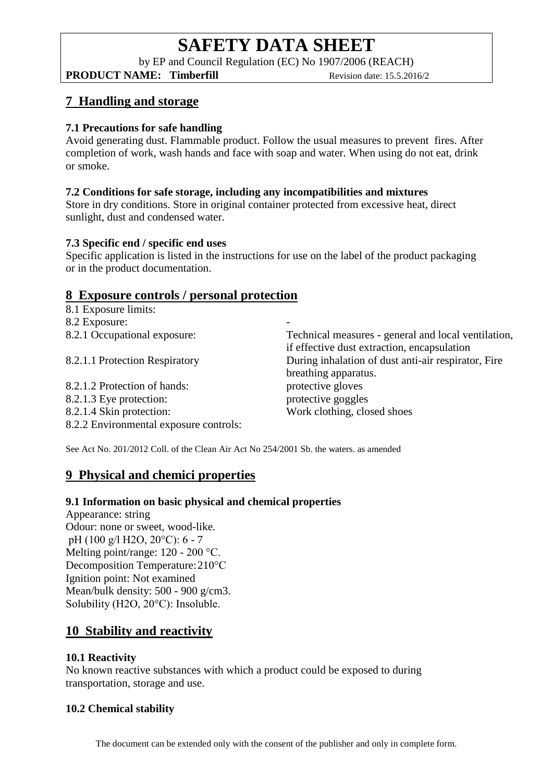by EP and Council Regulation (EC) No 1907/2006 (REACH)

**PRODUCT NAME:** Timberfill Revision date: 15.5.2016/2

# **7 Handling and storage**

## **7.1 Precautions for safe handling**

Avoid generating dust. Flammable product. Follow the usual measures to prevent fires. After completion of work, wash hands and face with soap and water. When using do not eat, drink or smoke.

## **7.2 Conditions for safe storage, including any incompatibilities and mixtures**

Store in dry conditions. Store in original container protected from excessive heat, direct sunlight, dust and condensed water.

## **7.3 Specific end / specific end uses**

Specific application is listed in the instructions for use on the label of the product packaging or in the product documentation.

-

# **8 Exposure controls / personal protection**

8.1 Exposure limits: 8.2 Exposure: 8.2.1 Occupational exposure: 8.2.1.1 Protection Respiratory

8.2.1.2 Protection of hands: 8.2.1.3 Eye protection: 8.2.1.4 Skin protection: 8.2.2 Environmental exposure controls: Technical measures - general and local ventilation, if effective dust extraction, encapsulation During inhalation of dust anti-air respirator, Fire breathing apparatus. protective gloves protective goggles Work clothing, closed shoes

See Act No. 201/2012 Coll. of the Clean Air Act No 254/2001 Sb. the waters. as amended

# **9 Physical and chemici properties**

## **9.1 Information on basic physical and chemical properties**

Appearance: string Odour: none or sweet, wood-like. pH (100 g/l H2O, 20°C): 6 - 7 Melting point/range: 120 - 200 °C. Decomposition Temperature:210°C Ignition point: Not examined Mean/bulk density: 500 - 900 g/cm3. Solubility (H2O, 20°C): Insoluble.

# **10 Stability and reactivity**

## **10.1 Reactivity**

No known reactive substances with which a product could be exposed to during transportation, storage and use.

## **10.2 Chemical stability**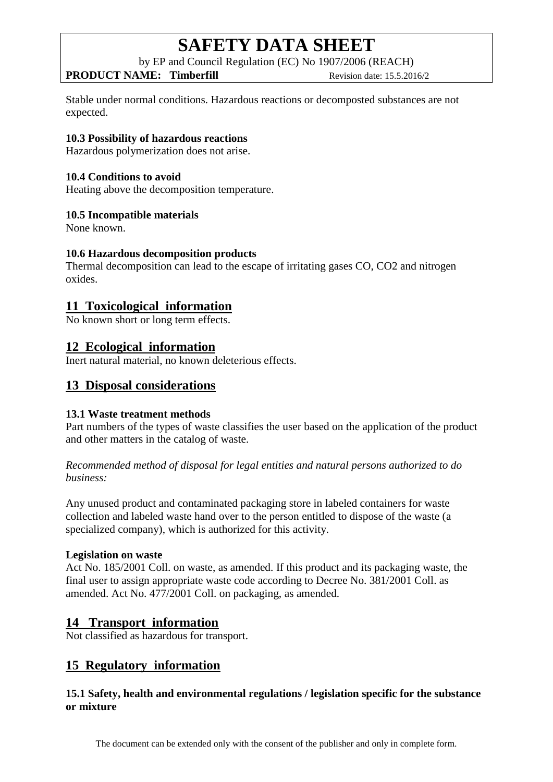by EP and Council Regulation (EC) No 1907/2006 (REACH)

## **PRODUCT NAME:** Timberfill Revision date: 15.5.2016/2

Stable under normal conditions. Hazardous reactions or decomposted substances are not expected.

### **10.3 Possibility of hazardous reactions**

Hazardous polymerization does not arise.

### **10.4 Conditions to avoid**

Heating above the decomposition temperature.

### **10.5 Incompatible materials**

None known.

### **10.6 Hazardous decomposition products**

Thermal decomposition can lead to the escape of irritating gases CO, CO2 and nitrogen oxides.

## **11 Toxicological information**

No known short or long term effects.

## **12 Ecological information**

Inert natural material, no known deleterious effects.

## **13 Disposal considerations**

#### **13.1 Waste treatment methods**

Part numbers of the types of waste classifies the user based on the application of the product and other matters in the catalog of waste.

*Recommended method of disposal for legal entities and natural persons authorized to do business:*

Any unused product and contaminated packaging store in labeled containers for waste collection and labeled waste hand over to the person entitled to dispose of the waste (a specialized company), which is authorized for this activity.

#### **Legislation on waste**

Act No. 185/2001 Coll. on waste, as amended. If this product and its packaging waste, the final user to assign appropriate waste code according to Decree No. 381/2001 Coll. as amended. Act No. 477/2001 Coll. on packaging, as amended.

## **14 Transport information**

Not classified as hazardous for transport.

## **15 Regulatory information**

## **15.1 Safety, health and environmental regulations / legislation specific for the substance or mixture**

The document can be extended only with the consent of the publisher and only in complete form.